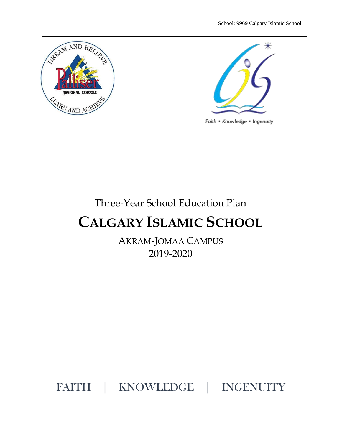



Faith • Knowledge • Ingenuity

# Three-Year School Education Plan **CALGARY ISLAMIC SCHOOL**

AKRAM-JOMAA CAMPUS 2019-2020

FAITH | KNOWLEDGE | INGENUITY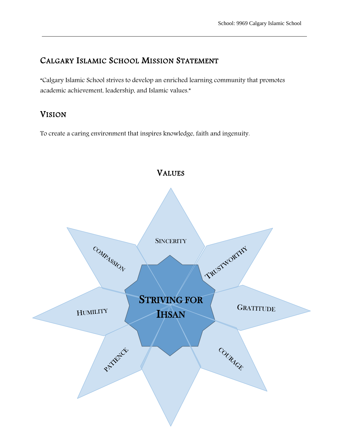### CALGARY ISLAMIC SCHOOL MISSION STATEMENT

"Calgary Islamic School strives to develop an enriched learning community that promotes academic achievement, leadership, and Islamic values."

### VISION

To create a caring environment that inspires knowledge, faith and ingenuity.

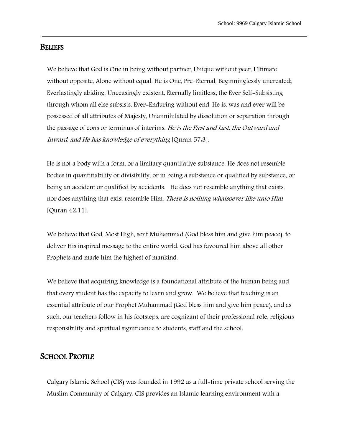#### **BELIEFS**

We believe that God is One in being without partner, Unique without peer, Ultimate without opposite, Alone without equal. He is One, Pre-Eternal, Beginninglessly uncreated; Everlastingly abiding, Unceasingly existent, Eternally limitless; the Ever Self-Subsisting through whom all else subsists, Ever-Enduring without end. He is, was and ever will be possessed of all attributes of Majesty, Unannihilated by dissolution or separation through the passage of eons or terminus of interims. He is the First and Last, the Outward and Inward, and He has knowledge of everything [Quran 57:3].

He is not a body with a form, or a limitary quantitative substance. He does not resemble bodies in quantifiability or divisibility, or in being a substance or qualified by substance, or being an accident or qualified by accidents. He does not resemble anything that exists, nor does anything that exist resemble Him. There is nothing whatsoever like unto Him [Quran 42:11].

We believe that God, Most High, sent Muhammad (God bless him and give him peace), to deliver His inspired message to the entire world. God has favoured him above all other Prophets and made him the highest of mankind.

We believe that acquiring knowledge is a foundational attribute of the human being and that every student has the capacity to learn and grow. We believe that teaching is an essential attribute of our Prophet Muhammad (God bless him and give him peace), and as such, our teachers follow in his footsteps, are cognizant of their professional role, religious responsibility and spiritual significance to students, staff and the school.

#### SCHOOL PROFILE

Calgary Islamic School (CIS) was founded in 1992 as a full-time private school serving the Muslim Community of Calgary. CIS provides an Islamic learning environment with a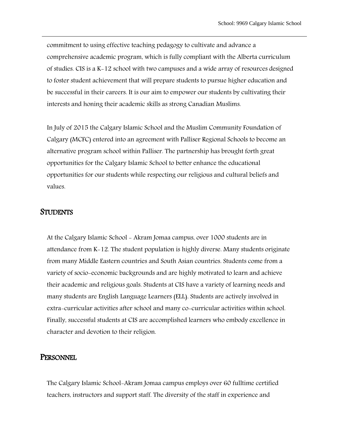commitment to using effective teaching pedagogy to cultivate and advance a comprehensive academic program, which is fully compliant with the Alberta curriculum of studies. CIS is a K-12 school with two campuses and a wide array of resources designed to foster student achievement that will prepare students to pursue higher education and be successful in their careers. It is our aim to empower our students by cultivating their interests and honing their academic skills as strong Canadian Muslims.

In July of 2015 the Calgary Islamic School and the Muslim Community Foundation of Calgary (MCFC) entered into an agreement with Palliser Regional Schools to become an alternative program school within Palliser. The partnership has brought forth great opportunities for the Calgary Islamic School to better enhance the educational opportunities for our students while respecting our religious and cultural beliefs and values.

#### STUDENTS

At the Calgary Islamic School - Akram Jomaa campus, over 1000 students are in attendance from K-12. The student population is highly diverse. Many students originate from many Middle Eastern countries and South Asian countries. Students come from a variety of socio-economic backgrounds and are highly motivated to learn and achieve their academic and religious goals. Students at CIS have a variety of learning needs and many students are English Language Learners (ELL). Students are actively involved in extra-curricular activities after school and many co-curricular activities within school. Finally, successful students at CIS are accomplished learners who embody excellence in character and devotion to their religion.

#### **PERSONNEL**

The Calgary Islamic School-Akram Jomaa campus employs over 60 fulltime certified teachers, instructors and support staff. The diversity of the staff in experience and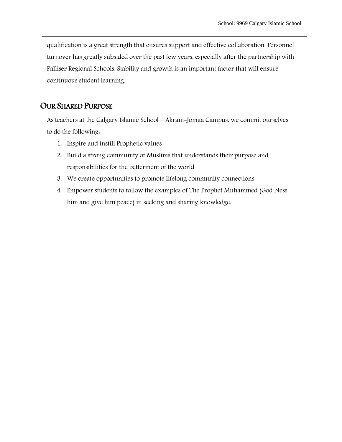qualification is a great strength that ensures support and effective collaboration. Personnel turnover has greatly subsided over the past few years, especially after the partnership with Palliser Regional Schools. Stability and growth is an important factor that will ensure continuous student learning.

### OUR SHARED PURPOSE

As teachers at the Calgary Islamic School – Akram-Jomaa Campus, we commit ourselves to do the following:

- 1. Inspire and instill Prophetic values
- 2. Build a strong community of Muslims that understands their purpose and responsibilities for the betterment of the world.
- 3. We create opportunities to promote lifelong community connections
- 4. Empower students to follow the examples of The Prophet Muhammed (God bless him and give him peace) in seeking and sharing knowledge.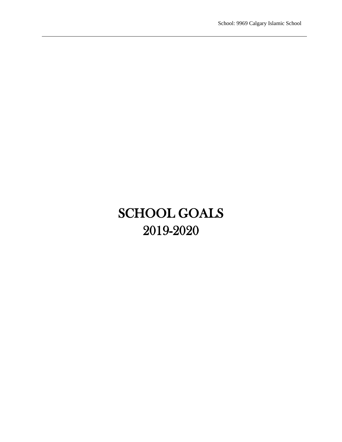# SCHOOL GOALS 2019-2020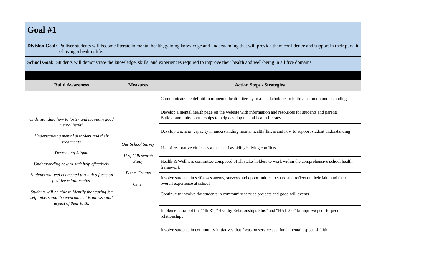## **Goal #1**

**Division Goal:** Palliser students will become literate in mental health, gaining knowledge and understanding that will provide them confidence and support in their pursuit of living a healthy life.

School Goal: Students will demonstrate the knowledge, skills, and experiences required to improve their health and well-being in all five domains.

| <b>Build Awareness</b>                                                                                                          | <b>Measures</b>                                                                      | <b>Action Steps / Strategies</b>                                                                                                                                            |                                                                                                                                               |                                                                                                           |
|---------------------------------------------------------------------------------------------------------------------------------|--------------------------------------------------------------------------------------|-----------------------------------------------------------------------------------------------------------------------------------------------------------------------------|-----------------------------------------------------------------------------------------------------------------------------------------------|-----------------------------------------------------------------------------------------------------------|
|                                                                                                                                 | Our School Survey<br>U of C Research<br>Study<br><b>Focus Groups</b><br><i>Other</i> |                                                                                                                                                                             |                                                                                                                                               | Communicate the definition of mental health literacy to all stakeholders to build a common understanding. |
| Understanding how to foster and maintain good<br>mental health<br>Understanding mental disorders and their                      |                                                                                      | Develop a mental health page on the website with information and resources for students and parents<br>Build community partnerships to help develop mental health literacy. |                                                                                                                                               |                                                                                                           |
|                                                                                                                                 |                                                                                      | Develop teachers' capacity in understanding mental health/illness and how to support student understanding                                                                  |                                                                                                                                               |                                                                                                           |
| treatments<br>Decreasing Stigma                                                                                                 |                                                                                      | Use of restorative circles as a means of avoiding/solving conflicts                                                                                                         |                                                                                                                                               |                                                                                                           |
| Understanding how to seek help effectively                                                                                      |                                                                                      |                                                                                                                                                                             | Health & Wellness committee composed of all stake-holders to work within the comprehensive school health<br>framework                         |                                                                                                           |
| Students will feel connected through a focus on<br>positive relationships.                                                      |                                                                                      |                                                                                                                                                                             | Involve students in self-assessments, surveys and opportunities to share and reflect on their faith and their<br>overall experience at school |                                                                                                           |
| Students will be able to identify that caring for<br>self, others and the environment is an essential<br>aspect of their faith. |                                                                                      | Continue to involve the students in community service projects and good will events.                                                                                        |                                                                                                                                               |                                                                                                           |
|                                                                                                                                 |                                                                                      | Implementation of the "4th R", "Healthy Relationships Plus" and "HAL 2.0" to improve peer-to-peer<br>relationships                                                          |                                                                                                                                               |                                                                                                           |
|                                                                                                                                 |                                                                                      | Involve students in community initiatives that focus on service as a fundamental aspect of faith                                                                            |                                                                                                                                               |                                                                                                           |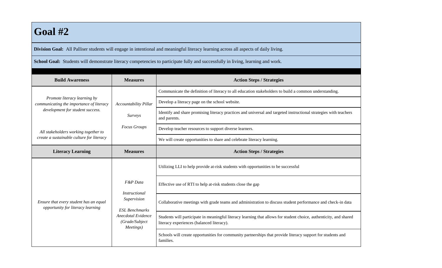## **Goal #2**

**Division Goal:** All Palliser students will engage in intentional and meaningful literacy learning across all aspects of daily living.

School Goal: Students will demonstrate literacy competencies to participate fully and successfully in living, learning and work.

| <b>Build Awareness</b>                                                                                       | <b>Measures</b>                                                                                                               | <b>Action Steps / Strategies</b>                                                                                                                                |
|--------------------------------------------------------------------------------------------------------------|-------------------------------------------------------------------------------------------------------------------------------|-----------------------------------------------------------------------------------------------------------------------------------------------------------------|
| Promote literacy learning by<br>communicating the importance of literacy<br>development for student success. | <b>Accountability Pillar</b>                                                                                                  | Communicate the definition of literacy to all education stakeholders to build a common understanding.                                                           |
|                                                                                                              |                                                                                                                               | Develop a literacy page on the school website.                                                                                                                  |
|                                                                                                              | Surveys                                                                                                                       | Identify and share promising literacy practices and universal and targeted instructional strategies with teachers<br>and parents.                               |
| All stakeholders working together to                                                                         | <b>Focus Groups</b>                                                                                                           | Develop teacher resources to support diverse learners.                                                                                                          |
| create a sustainable culture for literacy                                                                    |                                                                                                                               | We will create opportunities to share and celebrate literacy learning.                                                                                          |
| <b>Literacy Learning</b>                                                                                     | <b>Measures</b>                                                                                                               | <b>Action Steps / Strategies</b>                                                                                                                                |
| Ensure that every student has an equal<br>opportunity for literacy learning                                  | F&P Data<br><b>Instructional</b><br>Supervision<br><b>ESL Benchmarks</b><br>Anecdotal Evidence<br>(Grade/Subject<br>Meetings) | Utilizing LLI to help provide at-risk students with opportunities to be successful                                                                              |
|                                                                                                              |                                                                                                                               | Effective use of RTI to help at-risk students close the gap                                                                                                     |
|                                                                                                              |                                                                                                                               | Collaborative meetings with grade teams and administration to discuss student performance and check-in data                                                     |
|                                                                                                              |                                                                                                                               | Students will participate in meaningful literacy learning that allows for student choice, authenticity, and shared<br>literacy experiences (balanced literacy). |
|                                                                                                              |                                                                                                                               | Schools will create opportunities for community partnerships that provide literacy support for students and<br>families.                                        |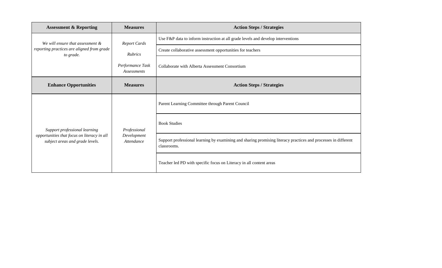| <b>Assessment &amp; Reporting</b>                                                                               | <b>Measures</b>                                                                 | <b>Action Steps / Strategies</b>                                                                                              |
|-----------------------------------------------------------------------------------------------------------------|---------------------------------------------------------------------------------|-------------------------------------------------------------------------------------------------------------------------------|
| We will ensure that assessment &<br>reporting practices are aligned from grade<br>to grade.                     | <b>Report Cards</b><br><b>Rubrics</b><br>Performance Task<br><b>Assessments</b> | Use F&P data to inform instruction at all grade levels and develop interventions                                              |
|                                                                                                                 |                                                                                 | Create collaborative assessment opportunities for teachers                                                                    |
|                                                                                                                 |                                                                                 | Collaborate with Alberta Assessment Consortium                                                                                |
| <b>Enhance Opportunities</b>                                                                                    | <b>Measures</b>                                                                 | <b>Action Steps / Strategies</b>                                                                                              |
| Support professional learning<br>opportunities that focus on literacy in all<br>subject areas and grade levels. | Professional<br>Development<br>Attendance                                       | Parent Learning Committee through Parent Council                                                                              |
|                                                                                                                 |                                                                                 | <b>Book Studies</b>                                                                                                           |
|                                                                                                                 |                                                                                 | Support professional learning by examining and sharing promising literacy practices and processes in different<br>classrooms. |
|                                                                                                                 |                                                                                 | Teacher led PD with specific focus on Literacy in all content areas                                                           |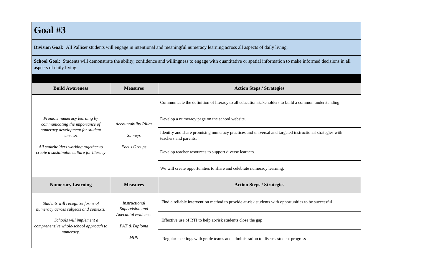## **Goal #3**

**Division Goal:** All Palliser students will engage in intentional and meaningful numeracy learning across all aspects of daily living.

School Goal: Students will demonstrate the ability, confidence and willingness to engage with quantitative or spatial information to make informed decisions in all aspects of daily living.

| <b>Build Awareness</b>                                                                                                                                                                               | <b>Measures</b>                                                                                | <b>Action Steps / Strategies</b>                                                                                                  |
|------------------------------------------------------------------------------------------------------------------------------------------------------------------------------------------------------|------------------------------------------------------------------------------------------------|-----------------------------------------------------------------------------------------------------------------------------------|
| Promote numeracy learning by<br>communicating the importance of<br>numeracy development for student<br>success.<br>All stakeholders working together to<br>create a sustainable culture for literacy | <b>Accountability Pillar</b><br><i>Surveys</i><br><b>Focus Groups</b>                          | Communicate the definition of literacy to all education stakeholders to build a common understanding.                             |
|                                                                                                                                                                                                      |                                                                                                | Develop a numeracy page on the school website.                                                                                    |
|                                                                                                                                                                                                      |                                                                                                | Identify and share promising numeracy practices and universal and targeted instructional strategies with<br>teachers and parents. |
|                                                                                                                                                                                                      |                                                                                                | Develop teacher resources to support diverse learners.                                                                            |
|                                                                                                                                                                                                      |                                                                                                | We will create opportunities to share and celebrate numeracy learning.                                                            |
| <b>Numeracy Learning</b>                                                                                                                                                                             | <b>Measures</b>                                                                                | <b>Action Steps / Strategies</b>                                                                                                  |
| Students will recognize forms of<br>numeracy across subjects and contexts.                                                                                                                           | <i>Instructional</i><br>Supervision and<br>Anecdotal evidence.<br>PAT & Diploma<br><b>MIPI</b> | Find a reliable intervention method to provide at-risk students with opportunities to be successful                               |
| Schools will implement a<br>comprehensive whole-school approach to<br>numeracy.                                                                                                                      |                                                                                                | Effective use of RTI to help at-risk students close the gap                                                                       |
|                                                                                                                                                                                                      |                                                                                                | Regular meetings with grade teams and administration to discuss student progress                                                  |